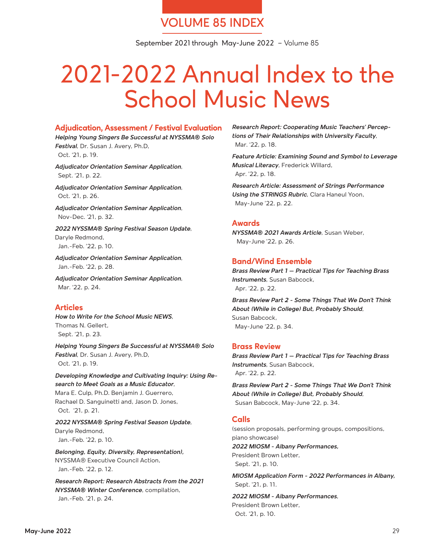# **VOLUME 85 INDEX**

September 2021 through May-June 2022 – Volume 85

# 2021-2022 Annual Index to the School Music News

#### **Adjudication, Assessment / Festival Evaluation**

*Helping Young Singers Be Successful at NYSSMA® Solo Festival*, Dr. Susan J. Avery, Ph.D, Oct. '21, p. 19.

*Adjudicator Orientation Seminar Application*, Sept. '21, p. 22.

*Adjudicator Orientation Seminar Application*, Oct. '21, p. 26.

*Adjudicator Orientation Seminar Application*, Nov-Dec. '21, p. 32.

*2022 NYSSMA® Spring Festival Season Update*, Daryle Redmond, Jan.-Feb. '22, p. 10.

*Adjudicator Orientation Seminar Application*, Jan.-Feb. '22, p. 28.

*Adjudicator Orientation Seminar Application*, Mar. '22, p. 24.

# **Articles**

*How to Write for the School Music NEWS*, Thomas N. Gellert, Sept. '21, p. 23.

*Helping Young Singers Be Successful at NYSSMA® Solo Festival*, Dr. Susan J. Avery, Ph.D, Oct. '21, p. 19.

*Developing Knowledge and Cultivating Inquiry: Using Research to Meet Goals as a Music Educator*, Mara E. Culp, Ph.D. Benjamin J. Guerrero,

Rachael D. Sanguinetti and, Jason D. Jones, Oct. '21, p. 21.

*2022 NYSSMA® Spring Festival Season Update*, Daryle Redmond, Jan.-Feb. '22, p. 10.

*Belonging, Equity, Diversity, Representation),*  NYSSMA® Executive Council Action, Jan.-Feb. '22, p. 12.

*Research Report: Research Abstracts from the 2021 NYSSMA® Winter Conference*, compilation, Jan.-Feb. '21, p. 24.

*Research Report: Cooperating Music Teachers' Perceptions of Their Relationships with University Faculty*, Mar. '22, p. 18.

*Feature Article: Examining Sound and Symbol to Leverage Musical Literacy*, Frederick Willard, Apr. '22, p. 18.

*Research Article: Assessment of Strings Performance Using the STRINGS Rubric*, Clara Haneul Yoon, May-June '22, p. 22.

# **Awards**

*NYSSMA® 2021 Awards Article*, Susan Weber, May-June '22, p. 26.

# **Band/Wind Ensemble**

*Brass Review Part 1 – Practical Tips for Teaching Brass Instruments*, Susan Babcock, Apr. '22, p. 22.

*Brass Review Part 2 - Some Things That We Don't Think About (While in College) But, Probably Should*, Susan Babcock, May-June '22, p. 34.

# **Brass Review**

*Brass Review Part 1 – Practical Tips for Teaching Brass Instruments*, Susan Babcock, Apr. '22, p. 22.

*Brass Review Part 2 - Some Things That We Don't Think About (While in College) But, Probably Should*, Susan Babcock, May-June '22, p. 34.

# **Calls**

(session proposals, performing groups, compositions, piano showcase) *2022 MIOSM - Albany Performances,* 

President Brown Letter, Sept. '21, p. 10.

*MIOSM Application Form - 2022 Performances in Albany,* Sept. '21, p. 11.

*2022 MIOSM - Albany Performances*, President Brown Letter, Oct. '21, p. 10.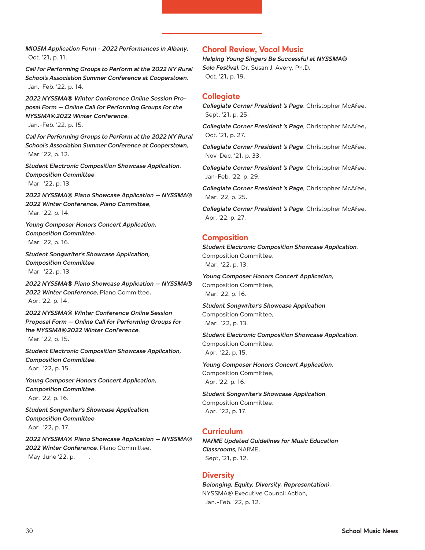*MIOSM Application Form - 2022 Performances in Albany*, Oct. '21, p. 11.

Call for Performing Groups to Perform at the 2022 NY Rural *School's Association Summer Conference at Cooperstown*, Jan.-Feb. '22, p. 14.

*2022 NYSSMA® Winter Conference Online Session Proposal Form – Online Call for Performing Groups for the NYSSMA®2022 Winter Conference*,

Jan.-Feb. '22, p. 15.

Call for Performing Groups to Perform at the 2022 NY Rural *School's Association Summer Conference at Cooperstown*, Mar. '22, p. 12.

*Student Electronic Composition Showcase Application, Composition Committee*, Mar. '22, p. 13.

*2022 NYSSMA® Piano Showcase Application – NYSSMA® 2022 Winter Conference, Piano Committee*, Mar. '22, p. 14.

*Young Composer Honors Concert Application, Composition Committee*, Mar. '22, p. 16.

*Student Songwriter's Showcase Application, Composition Committee*, Mar. '22, p. 13.

*2022 NYSSMA® Piano Showcase Application – NYSSMA® 2022 Winter Conference*, Piano Committee, Apr. '22, p. 14.

*2022 NYSSMA® Winter Conference Online Session Proposal Form – Online Call for Performing Groups for the NYSSMA®2022 Winter Conference*, Mar. '22, p. 15.

*Student Electronic Composition Showcase Application, Composition Committee*, Apr. '22, p. 15.

*Young Composer Honors Concert Application, Composition Committee*, Apr. '22, p. 16.

*Student Songwriter's Showcase Application, Composition Committee*, Apr. '22, p. 17.

*2022 NYSSMA® Piano Showcase Application – NYSSMA® 2022 Winter Conference*, Piano Committee, May-June '22, p.  $_{---}$ .

# **Choral Review, Vocal Music**

*Helping Young Singers Be Successful at NYSSMA® Solo Festival*, Dr. Susan J. Avery, Ph.D, Oct. '21, p. 19.

#### **Collegiate**

*Collegiate Corner President 's Page*, Christopher McAfee, Sept. '21, p. 25.

*Collegiate Corner President 's Page*, Christopher McAfee, Oct. '21, p. 27.

*Collegiate Corner President 's Page*, Christopher McAfee, Nov-Dec. '21, p. 33.

*Collegiate Corner President 's Page*, Christopher McAfee, Jan-Feb. '22, p. 29.

*Collegiate Corner President 's Page*, Christopher McAfee, Mar. '22, p. 25.

*Collegiate Corner President 's Page*, Christopher McAfee, Apr. '22, p. 27.

#### **Composition**

*Student Electronic Composition Showcase Application*, Composition Committee, Mar. '22, p. 13.

*Young Composer Honors Concert Application*, Composition Committee, Mar. '22, p. 16.

*Student Songwriter's Showcase Application*, Composition Committee, Mar. '22, p. 13.

*Student Electronic Composition Showcase Application*, Composition Committee, Apr. '22, p. 15.

*Young Composer Honors Concert Application*, Composition Committee, Apr. '22, p. 16.

*Student Songwriter's Showcase Application*, Composition Committee, Apr. '22, p. 17.

# **Curriculum**

*NAfME Updated Guidelines for Music Education Classrooms*, NAfME, Sept, '21, p. 12.

# **Diversity**

*Belonging, Equity, Diversity, Representation)*, NYSSMA® Executive Council Action, Jan.-Feb. '22, p. 12.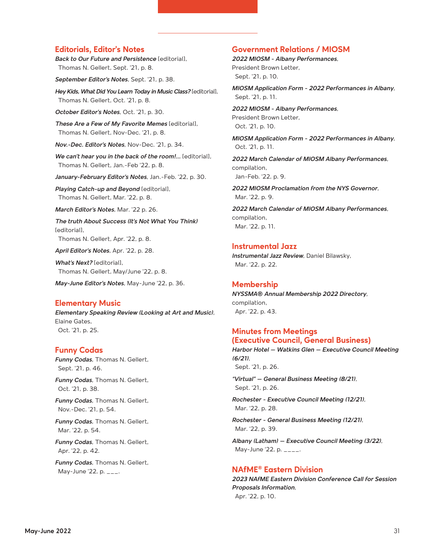# **Editorials, Editor's Notes**

*Back to Our Future and Persistence* [editorial], Thomas N. Gellert, Sept. '21, p. 8.

*September Editor's Notes*, Sept. '21, p. 38.

*Hey Kids, What Did You Learn Today in Music Class?* [editorial], Thomas N. Gellert, Oct. '21, p. 8.

*October Editor's Notes*, Oct. '21, p. 30.

*These Are a Few of My Favorite Memes* [editorial], Thomas N. Gellert, Nov-Dec. '21, p. 8.

*Nov.-Dec. Editor's Notes*, Nov-Dec. '21, p. 34.

*We can't hear you in the back of the room!…* [editorial], Thomas N. Gellert, Jan.-Feb '22, p. 8.

*January-February Editor's Notes*, Jan.-Feb. '22, p. 30.

*Playing Catch-up and Beyond* [editorial], Thomas N. Gellert, Mar. '22, p. 8.

*March Editor's Notes*, Mar. '22 p. 26.

*The truth About Success (It's Not What You Think)* [editorial], Thomas N. Gellert, Apr. '22, p. 8.

*April Editor's Notes*, Apr. '22, p. 28.

*What's Next?* [editorial], Thomas N. Gellert, May/June '22, p. 8.

*May-June Editor's Notes*, May-June '22, p. 36.

#### **Elementary Music**

*Elementary Speaking Review (Looking at Art and Music)*, Elaine Gates, Oct. '21, p. 25.

#### **Funny Codas**

*Funny Codas*, Thomas N. Gellert, Sept. '21, p. 46.

*Funny Codas*, Thomas N. Gellert, Oct. '21, p. 38.

*Funny Codas*, Thomas N. Gellert, Nov.-Dec. '21, p. 54.

*Funny Codas*, Thomas N. Gellert, Mar. '22, p. 54.

*Funny Codas*, Thomas N. Gellert, Apr. '22, p. 42.

*Funny Codas*, Thomas N. Gellert, May-June '22, p.  $_{---}$ .

#### **Government Relations / MIOSM**

*2022 MIOSM - Albany Performances*, President Brown Letter, Sept. '21, p. 10.

*MIOSM Application Form - 2022 Performances in Albany*, Sept. '21, p. 11.

*2022 MIOSM - Albany Performances*, President Brown Letter, Oct. '21, p. 10.

*MIOSM Application Form - 2022 Performances in Albany*, Oct. '21, p. 11.

*2022 March Calendar of MIOSM Albany Performances*, compilation, Jan-Feb. '22, p. 9.

*2022 MIOSM Proclamation from the NYS Governor*, Mar. '22, p. 9.

*2022 March Calendar of MIOSM Albany Performances*, compilation, Mar. '22, p. 11.

#### **Instrumental Jazz**

*Instrumental Jazz Review*, Daniel Bilawsky, Mar. '22, p. 22.

#### **Membership**

*NYSSMA® Annual Membership 2022 Directory*, compilation, Apr. '22, p. 43.

#### **Minutes from Meetings (Executive Council, General Business)**

*Harbor Hotel – Watkins Glen – Executive Council Meeting (6/21)*, Sept. '21, p. 26.

*"Virtual" – General Business Meeting (8/21)*, Sept. '21, p. 26.

*Rochester - Executive Council Meeting (12/21)*, Mar. '22, p. 28.

*Rochester - General Business Meeting (12/21)*, Mar. '22, p. 39.

*Albany (Latham) – Executive Council Meeting (3/22)*, May-June '22, p. \_\_\_\_.

# **NAfME® Eastern Division**

*2023 NAfME Eastern Division Conference Call for Session Proposals Information*, Apr. '22, p. 10.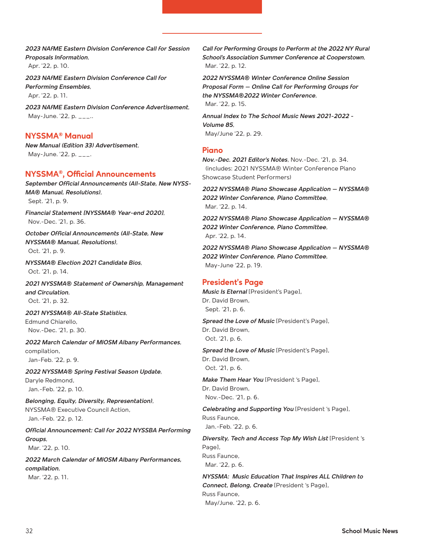*2023 NAfME Eastern Division Conference Call for Session Proposals Information*, Apr. '22, p. 10.

*2023 NAfME Eastern Division Conference Call for Performing Ensembles*, Apr. '22, p. 11.

*2023 NAfME Eastern Division Conference Advertisement*, May-June.  $22$ , p.  $_{---}$ ..

# **NYSSMA® Manual**

*New Manual (Edition 33) Advertisement*, May-June. '22, p.  $\qquad$ .

# **NYSSMA®, Official Announcements**

*September Official Announcements (All-State, New NYSS-MA® Manual, Resolutions)*, Sept. '21, p. 9.

*Financial Statement [NYSSMA® Year-end 2020]*, Nov.-Dec. '21, p. 36.

*October Official Announcements (All-State, New NYSSMA® Manual, Resolutions)*, Oct. '21, p. 9.

*NYSSMA® Election 2021 Candidate Bios*,

Oct. '21, p. 14.

*2021 NYSSMA® Statement of Ownership, Management and Circulation*, Oct. '21, p. 32.

*2021 NYSSMA® All-State Statistics*, Edmund Chiarello, Nov.-Dec. '21, p. 30.

*2022 March Calendar of MIOSM Albany Performances*, compilation, Jan-Feb. '22, p. 9.

*2022 NYSSMA® Spring Festival Season Update*, Daryle Redmond, Jan.-Feb. '22, p. 10.

*Belonging, Equity, Diversity, Representation)*, NYSSMA® Executive Council Action, Jan.-Feb. '22, p. 12.

*Official Announcement: Call for 2022 NYSSBA Performing Groups*, Mar. '22, p. 10.

*2022 March Calendar of MIOSM Albany Performances, compilation*, Mar. '22, p. 11.

Call for Performing Groups to Perform at the 2022 NY Rural *School's Association Summer Conference at Cooperstown*, Mar. '22, p. 12.

*2022 NYSSMA® Winter Conference Online Session Proposal Form – Online Call for Performing Groups for the NYSSMA®2022 Winter Conference*, Mar. '22, p. 15.

*Annual Index to The School Music News 2021-2022 - Volume 85*, May/June '22, p. 29.

#### **Piano**

*Nov.-Dec. 2021 Editor's Notes*, Nov.-Dec. '21, p. 34. (includes: 2021 NYSSMA® Winter Conference Piano Showcase Student Performers)

*2022 NYSSMA® Piano Showcase Application – NYSSMA® 2022 Winter Conference, Piano Committee*, Mar. '22, p. 14.

*2022 NYSSMA® Piano Showcase Application – NYSSMA® 2022 Winter Conference, Piano Committee*, Apr. '22, p. 14.

*2022 NYSSMA® Piano Showcase Application – NYSSMA® 2022 Winter Conference, Piano Committee*, May-June '22, p. 19.

# **President's Page**

*Music Is Eternal* [President's Page], Dr. David Brown, Sept. '21, p. 6.

*Spread the Love of Music* [President's Page], Dr. David Brown, Oct. '21, p. 6.

*Spread the Love of Music* [President's Page], Dr. David Brown, Oct. '21, p. 6.

*Make Them Hear You* [President 's Page], Dr. David Brown, Nov.-Dec. '21, p. 6.

*Celebrating and Supporting You* [President 's Page], Russ Faunce, Jan.-Feb. '22, p. 6.

*Diversity, Tech and Access Top My Wish List* [President 's Page], Russ Faunce, Mar. '22, p. 6.

*NYSSMA: Music Education That Inspires ALL Children to Connect, Belong, Create* [President 's Page], Russ Faunce, May/June. '22, p. 6.